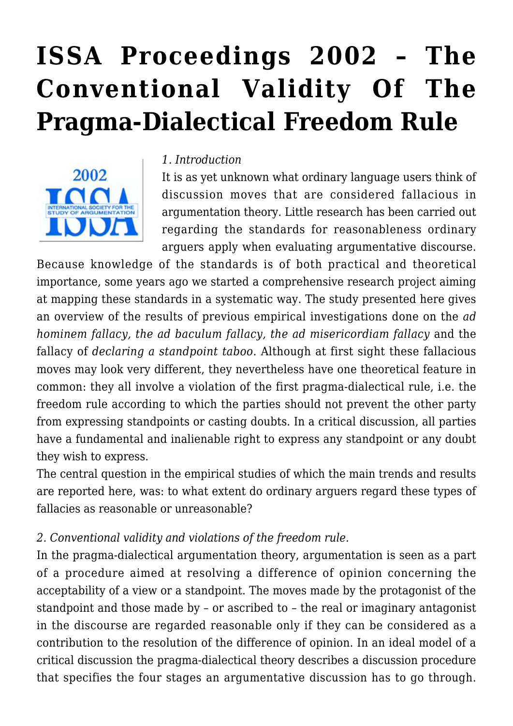# **[ISSA Proceedings 2002 – The](https://rozenbergquarterly.com/issa-proceedings-2002-the-conventional-validity-of-the-pragma-dialectical-freedom-rule/) [Conventional Validity Of The](https://rozenbergquarterly.com/issa-proceedings-2002-the-conventional-validity-of-the-pragma-dialectical-freedom-rule/) [Pragma-Dialectical Freedom Rule](https://rozenbergquarterly.com/issa-proceedings-2002-the-conventional-validity-of-the-pragma-dialectical-freedom-rule/)**



#### *1. Introduction*

It is as yet unknown what ordinary language users think of discussion moves that are considered fallacious in argumentation theory. Little research has been carried out regarding the standards for reasonableness ordinary arguers apply when evaluating argumentative discourse.

Because knowledge of the standards is of both practical and theoretical importance, some years ago we started a comprehensive research project aiming at mapping these standards in a systematic way. The study presented here gives an overview of the results of previous empirical investigations done on the *ad hominem fallacy, the ad baculum fallacy, the ad misericordiam fallacy* and the fallacy of *declaring a standpoint taboo*. Although at first sight these fallacious moves may look very different, they nevertheless have one theoretical feature in common: they all involve a violation of the first pragma-dialectical rule, i.e. the freedom rule according to which the parties should not prevent the other party from expressing standpoints or casting doubts. In a critical discussion, all parties have a fundamental and inalienable right to express any standpoint or any doubt they wish to express.

The central question in the empirical studies of which the main trends and results are reported here, was: to what extent do ordinary arguers regard these types of fallacies as reasonable or unreasonable?

## *2. Conventional validity and violations of the freedom rule.*

In the pragma-dialectical argumentation theory, argumentation is seen as a part of a procedure aimed at resolving a difference of opinion concerning the acceptability of a view or a standpoint. The moves made by the protagonist of the standpoint and those made by – or ascribed to – the real or imaginary antagonist in the discourse are regarded reasonable only if they can be considered as a contribution to the resolution of the difference of opinion. In an ideal model of a critical discussion the pragma-dialectical theory describes a discussion procedure that specifies the four stages an argumentative discussion has to go through.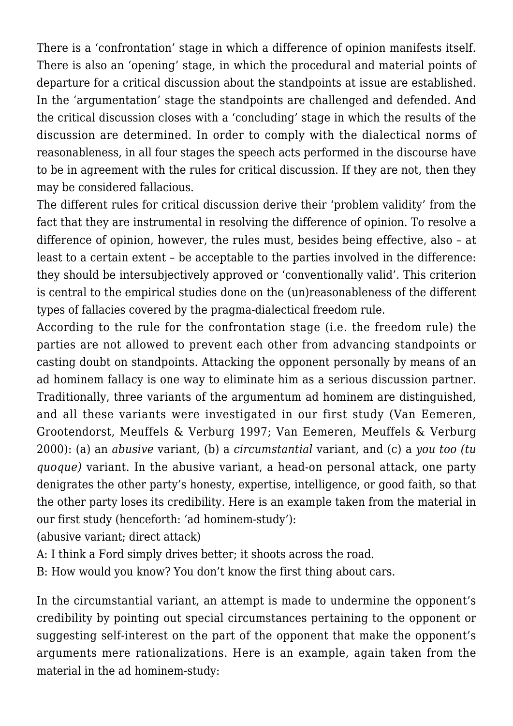There is a 'confrontation' stage in which a difference of opinion manifests itself. There is also an 'opening' stage, in which the procedural and material points of departure for a critical discussion about the standpoints at issue are established. In the 'argumentation' stage the standpoints are challenged and defended. And the critical discussion closes with a 'concluding' stage in which the results of the discussion are determined. In order to comply with the dialectical norms of reasonableness, in all four stages the speech acts performed in the discourse have to be in agreement with the rules for critical discussion. If they are not, then they may be considered fallacious.

The different rules for critical discussion derive their 'problem validity' from the fact that they are instrumental in resolving the difference of opinion. To resolve a difference of opinion, however, the rules must, besides being effective, also – at least to a certain extent – be acceptable to the parties involved in the difference: they should be intersubjectively approved or 'conventionally valid'. This criterion is central to the empirical studies done on the (un)reasonableness of the different types of fallacies covered by the pragma-dialectical freedom rule.

According to the rule for the confrontation stage (i.e. the freedom rule) the parties are not allowed to prevent each other from advancing standpoints or casting doubt on standpoints. Attacking the opponent personally by means of an ad hominem fallacy is one way to eliminate him as a serious discussion partner. Traditionally, three variants of the argumentum ad hominem are distinguished, and all these variants were investigated in our first study (Van Eemeren, Grootendorst, Meuffels & Verburg 1997; Van Eemeren, Meuffels & Verburg 2000): (a) an *abusive* variant, (b) a *circumstantial* variant, and (c) a *you too (tu quoque)* variant. In the abusive variant, a head-on personal attack, one party denigrates the other party's honesty, expertise, intelligence, or good faith, so that the other party loses its credibility. Here is an example taken from the material in our first study (henceforth: 'ad hominem-study'):

(abusive variant; direct attack)

A: I think a Ford simply drives better; it shoots across the road.

B: How would you know? You don't know the first thing about cars.

In the circumstantial variant, an attempt is made to undermine the opponent's credibility by pointing out special circumstances pertaining to the opponent or suggesting self-interest on the part of the opponent that make the opponent's arguments mere rationalizations. Here is an example, again taken from the material in the ad hominem-study: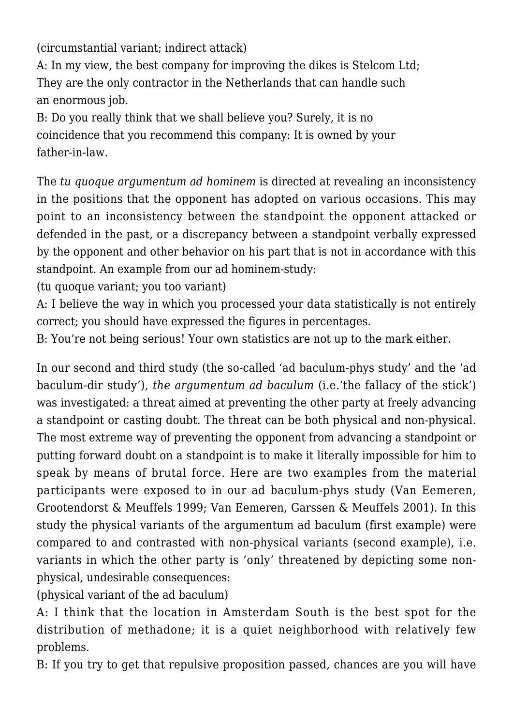(circumstantial variant; indirect attack)

A: In my view, the best company for improving the dikes is Stelcom Ltd; They are the only contractor in the Netherlands that can handle such an enormous job.

B: Do you really think that we shall believe you? Surely, it is no coincidence that you recommend this company: It is owned by your father-in-law.

The *tu quoque argumentum ad hominem* is directed at revealing an inconsistency in the positions that the opponent has adopted on various occasions. This may point to an inconsistency between the standpoint the opponent attacked or defended in the past, or a discrepancy between a standpoint verbally expressed by the opponent and other behavior on his part that is not in accordance with this standpoint. An example from our ad hominem-study:

(tu quoque variant; you too variant)

A: I believe the way in which you processed your data statistically is not entirely correct; you should have expressed the figures in percentages.

B: You're not being serious! Your own statistics are not up to the mark either.

In our second and third study (the so-called 'ad baculum-phys study' and the 'ad baculum-dir study'), *the argumentum ad baculum* (i.e.'the fallacy of the stick') was investigated: a threat aimed at preventing the other party at freely advancing a standpoint or casting doubt. The threat can be both physical and non-physical. The most extreme way of preventing the opponent from advancing a standpoint or putting forward doubt on a standpoint is to make it literally impossible for him to speak by means of brutal force. Here are two examples from the material participants were exposed to in our ad baculum-phys study (Van Eemeren, Grootendorst & Meuffels 1999; Van Eemeren, Garssen & Meuffels 2001). In this study the physical variants of the argumentum ad baculum (first example) were compared to and contrasted with non-physical variants (second example), i.e. variants in which the other party is 'only' threatened by depicting some nonphysical, undesirable consequences:

(physical variant of the ad baculum)

A: I think that the location in Amsterdam South is the best spot for the distribution of methadone; it is a quiet neighborhood with relatively few problems.

B: If you try to get that repulsive proposition passed, chances are you will have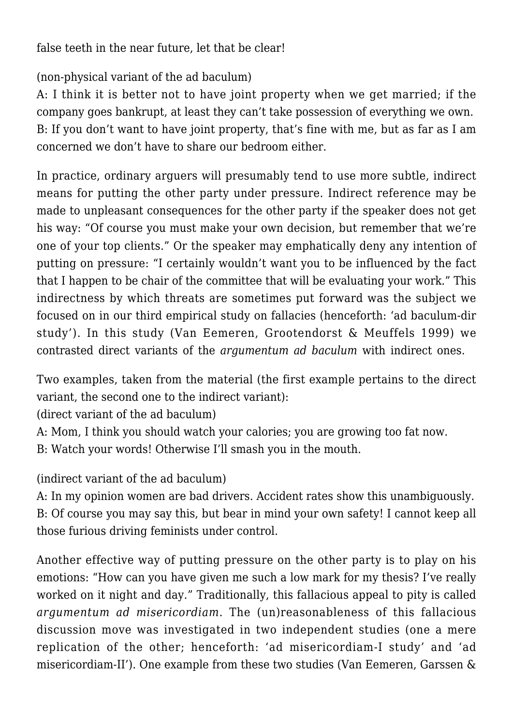false teeth in the near future, let that be clear!

(non-physical variant of the ad baculum)

A: I think it is better not to have joint property when we get married; if the company goes bankrupt, at least they can't take possession of everything we own. B: If you don't want to have joint property, that's fine with me, but as far as I am concerned we don't have to share our bedroom either.

In practice, ordinary arguers will presumably tend to use more subtle, indirect means for putting the other party under pressure. Indirect reference may be made to unpleasant consequences for the other party if the speaker does not get his way: "Of course you must make your own decision, but remember that we're one of your top clients." Or the speaker may emphatically deny any intention of putting on pressure: "I certainly wouldn't want you to be influenced by the fact that I happen to be chair of the committee that will be evaluating your work." This indirectness by which threats are sometimes put forward was the subject we focused on in our third empirical study on fallacies (henceforth: 'ad baculum-dir study'). In this study (Van Eemeren, Grootendorst & Meuffels 1999) we contrasted direct variants of the *argumentum ad baculum* with indirect ones.

Two examples, taken from the material (the first example pertains to the direct variant, the second one to the indirect variant):

(direct variant of the ad baculum)

A: Mom, I think you should watch your calories; you are growing too fat now.

B: Watch your words! Otherwise I'll smash you in the mouth.

(indirect variant of the ad baculum)

A: In my opinion women are bad drivers. Accident rates show this unambiguously. B: Of course you may say this, but bear in mind your own safety! I cannot keep all those furious driving feminists under control.

Another effective way of putting pressure on the other party is to play on his emotions: "How can you have given me such a low mark for my thesis? I've really worked on it night and day." Traditionally, this fallacious appeal to pity is called *argumentum ad misericordiam*. The (un)reasonableness of this fallacious discussion move was investigated in two independent studies (one a mere replication of the other; henceforth: 'ad misericordiam-I study' and 'ad misericordiam-II'). One example from these two studies (Van Eemeren, Garssen &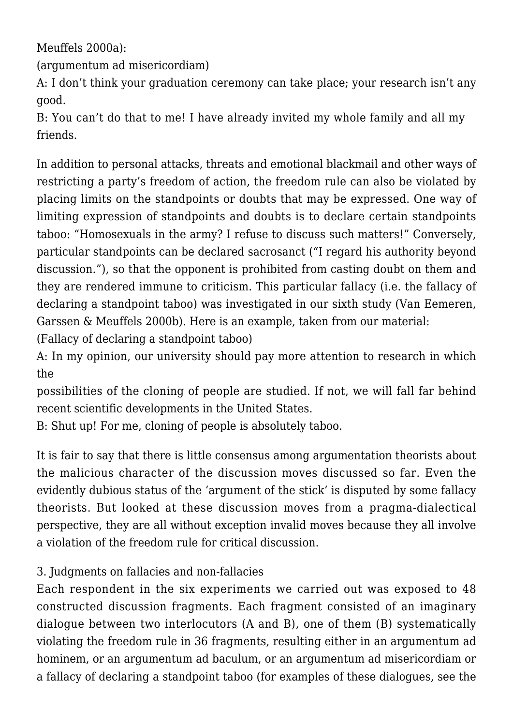Meuffels 2000a):

(argumentum ad misericordiam)

A: I don't think your graduation ceremony can take place; your research isn't any good.

B: You can't do that to me! I have already invited my whole family and all my friends.

In addition to personal attacks, threats and emotional blackmail and other ways of restricting a party's freedom of action, the freedom rule can also be violated by placing limits on the standpoints or doubts that may be expressed. One way of limiting expression of standpoints and doubts is to declare certain standpoints taboo: "Homosexuals in the army? I refuse to discuss such matters!" Conversely, particular standpoints can be declared sacrosanct ("I regard his authority beyond discussion."), so that the opponent is prohibited from casting doubt on them and they are rendered immune to criticism. This particular fallacy (i.e. the fallacy of declaring a standpoint taboo) was investigated in our sixth study (Van Eemeren, Garssen & Meuffels 2000b). Here is an example, taken from our material:

(Fallacy of declaring a standpoint taboo)

A: In my opinion, our university should pay more attention to research in which the

possibilities of the cloning of people are studied. If not, we will fall far behind recent scientific developments in the United States.

B: Shut up! For me, cloning of people is absolutely taboo.

It is fair to say that there is little consensus among argumentation theorists about the malicious character of the discussion moves discussed so far. Even the evidently dubious status of the 'argument of the stick' is disputed by some fallacy theorists. But looked at these discussion moves from a pragma-dialectical perspective, they are all without exception invalid moves because they all involve a violation of the freedom rule for critical discussion.

# 3. Judgments on fallacies and non-fallacies

Each respondent in the six experiments we carried out was exposed to 48 constructed discussion fragments. Each fragment consisted of an imaginary dialogue between two interlocutors (A and B), one of them (B) systematically violating the freedom rule in 36 fragments, resulting either in an argumentum ad hominem, or an argumentum ad baculum, or an argumentum ad misericordiam or a fallacy of declaring a standpoint taboo (for examples of these dialogues, see the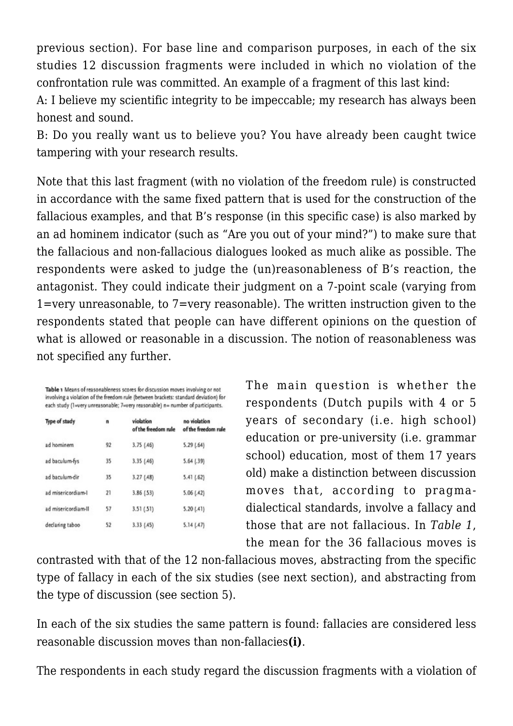previous section). For base line and comparison purposes, in each of the six studies 12 discussion fragments were included in which no violation of the confrontation rule was committed. An example of a fragment of this last kind:

A: I believe my scientific integrity to be impeccable; my research has always been honest and sound.

B: Do you really want us to believe you? You have already been caught twice tampering with your research results.

Note that this last fragment (with no violation of the freedom rule) is constructed in accordance with the same fixed pattern that is used for the construction of the fallacious examples, and that B's response (in this specific case) is also marked by an ad hominem indicator (such as "Are you out of your mind?") to make sure that the fallacious and non-fallacious dialogues looked as much alike as possible. The respondents were asked to judge the (un)reasonableness of B's reaction, the antagonist. They could indicate their judgment on a 7-point scale (varying from 1=very unreasonable, to 7=very reasonable). The written instruction given to the respondents stated that people can have different opinions on the question of what is allowed or reasonable in a discussion. The notion of reasonableness was not specified any further.

|                     |    | Table 1 Means of reasonableness scores for discussion moves involving or not<br>involving a violation of the freedom rule (between brackets: standard deviation) for<br>each study (1=very unreasonable; 7=very reasonable) n= number of participants. |                                     |
|---------------------|----|--------------------------------------------------------------------------------------------------------------------------------------------------------------------------------------------------------------------------------------------------------|-------------------------------------|
| Type of study       | n  | violation<br>of the freedom rule                                                                                                                                                                                                                       | no violation<br>of the freedom rule |
| ad hominem          | 92 | 3.75(46)                                                                                                                                                                                                                                               | 5.29(64)                            |
| ad baculum-fys      | 35 | 3.35(46)                                                                                                                                                                                                                                               | $5.64$ $(.39)$                      |
| ad baculum-dir      | 35 | 3.27(48)                                                                                                                                                                                                                                               | 5.41 (.62)                          |
| ad misericordiam-l  | 21 | 3.86 (.53)                                                                                                                                                                                                                                             | 5.06(.42)                           |
| ad misericordiam-II | 57 | 3.51 (.51)                                                                                                                                                                                                                                             | 5.20(41)                            |
| declaring taboo     | 52 | 3.33 (.45)                                                                                                                                                                                                                                             | 5.14(47)                            |

The main question is whether the respondents (Dutch pupils with 4 or 5 years of secondary (i.e. high school) education or pre-university (i.e. grammar school) education, most of them 17 years old) make a distinction between discussion moves that, according to pragmadialectical standards, involve a fallacy and those that are not fallacious. In *Table 1*, the mean for the 36 fallacious moves is

contrasted with that of the 12 non-fallacious moves, abstracting from the specific type of fallacy in each of the six studies (see next section), and abstracting from the type of discussion (see section 5).

In each of the six studies the same pattern is found: fallacies are considered less reasonable discussion moves than non-fallacies**(i)**.

The respondents in each study regard the discussion fragments with a violation of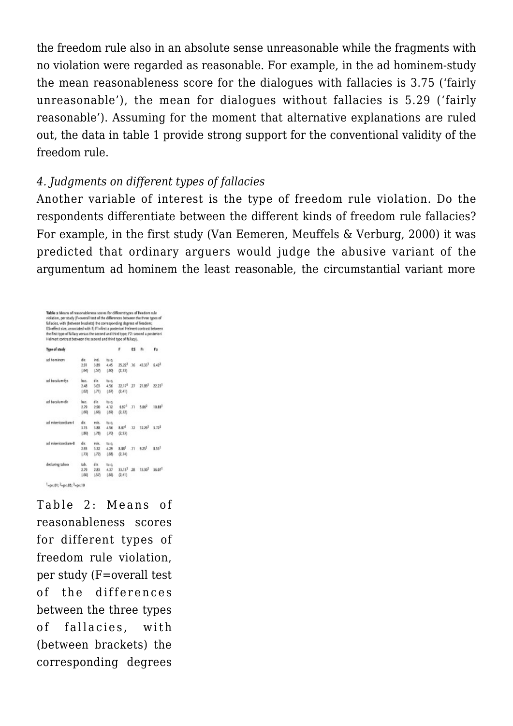the freedom rule also in an absolute sense unreasonable while the fragments with no violation were regarded as reasonable. For example, in the ad hominem-study the mean reasonableness score for the dialogues with fallacies is 3.75 ('fairly unreasonable'), the mean for dialogues without fallacies is 5.29 ('fairly reasonable'). Assuming for the moment that alternative explanations are ruled out, the data in table 1 provide strong support for the conventional validity of the freedom rule.

#### *4. Judgments on different types of fallacies*

Another variable of interest is the type of freedom rule violation. Do the respondents differentiate between the different kinds of freedom rule fallacies? For example, in the first study (Van Eemeren, Meuffels & Verburg, 2000) it was predicted that ordinary arguers would judge the abusive variant of the argumentum ad hominem the least reasonable, the circumstantial variant more

| fallacies, with (between brackets) the corresponding degrees of freedom;           |             |       |       |                     |         |                                          |        |
|------------------------------------------------------------------------------------|-------------|-------|-------|---------------------|---------|------------------------------------------|--------|
| ES=effect size, associated with F; F1=first a posteriori Helment contrast between  |             |       |       |                     |         |                                          |        |
| the first type of fallacy versus the second and third type; F2: second a postmiori |             |       |       |                     |         |                                          |        |
| Helmert contrast between the second and third type of fallacy).                    |             |       |       |                     |         |                                          |        |
| Type of study                                                                      |             |       |       |                     | ES.     | ħ                                        | F2     |
| ad hominers                                                                        | dir.        | ind.  | ts c. |                     |         |                                          |        |
|                                                                                    | $2 - 91$    | 3.89  | 4.45  | 35.227              |         | $.16$ $43.33^{1}$ $6.42^{2}$             |        |
|                                                                                    | [64]        | (57)  | 1,601 | (2, 33)             |         |                                          |        |
| ad baculum-fys                                                                     | buc.        | dit   | ts c. |                     |         |                                          |        |
|                                                                                    | 2.48        | 3.03  | 4.56  |                     |         | 22.17 <sup>1</sup> 27 21.89 <sup>1</sup> | 22.231 |
|                                                                                    | [152]       | (71)  | [.67] | (2,41)              |         |                                          |        |
| ad baculum dir.                                                                    | bac.        | dir.  | ts c. |                     |         |                                          |        |
|                                                                                    | 279         | 2.90  | 4.12  | 6.677               | .11     | 5.862                                    | 10.897 |
|                                                                                    | [.60]       | (56)  | [.69] | (2, 32)             |         |                                          |        |
| ad misericardian-1                                                                 | dir.        | mit.  | ts c. |                     |         |                                          |        |
|                                                                                    | 3.15        | 3.88  | 456   | 8.077               | $.12 -$ | 12.297                                   | 3.725  |
|                                                                                    | <b>LBDI</b> | 178   | 1.701 | (2,53)              |         |                                          |        |
| ad misericord am-II                                                                | dr          | rtit. | tu c. |                     |         |                                          |        |
|                                                                                    | 2.93        | 3.32  | 4.29  | $8.88$ <sup>T</sup> |         | $.11$ 9.25 <sup>1</sup>                  | 8.53   |
|                                                                                    | 1.731       | (72)  | [553] | (2,34)              |         |                                          |        |
| declaring taboo                                                                    | tab.        | dίε   | ts c. |                     |         |                                          |        |
|                                                                                    | 270         | 2.83  | 4.37  |                     |         | 33.13 <sup>1</sup> 28 13.30 <sup>1</sup> | 36.07  |
|                                                                                    | [.66]       | 457   | [166] | (2, 41)             |         |                                          |        |

Table 2: Means of reasonableness scores for different types of freedom rule violation, per study (F=overall test of the differences between the three types of fallacies, with (between brackets) the corresponding degrees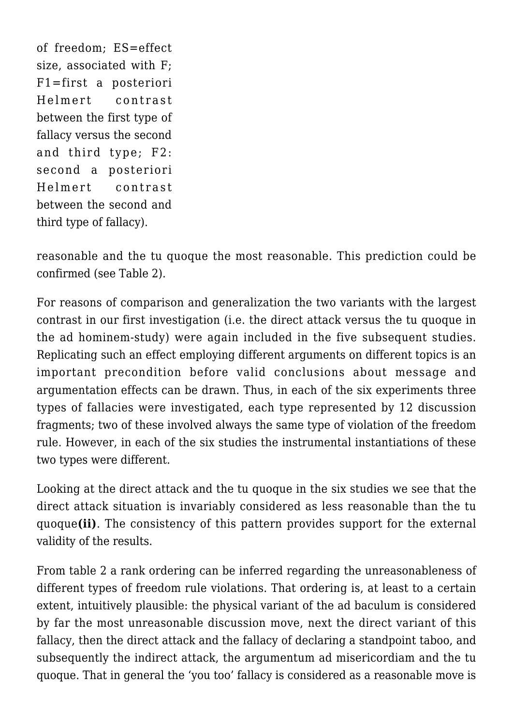of freedom; ES=effect size, associated with F; F1=first a posteriori Helmert contrast between the first type of fallacy versus the second and third type; F2: second a posteriori Helmert contrast between the second and third type of fallacy).

reasonable and the tu quoque the most reasonable. This prediction could be confirmed (see Table 2).

For reasons of comparison and generalization the two variants with the largest contrast in our first investigation (i.e. the direct attack versus the tu quoque in the ad hominem-study) were again included in the five subsequent studies. Replicating such an effect employing different arguments on different topics is an important precondition before valid conclusions about message and argumentation effects can be drawn. Thus, in each of the six experiments three types of fallacies were investigated, each type represented by 12 discussion fragments; two of these involved always the same type of violation of the freedom rule. However, in each of the six studies the instrumental instantiations of these two types were different.

Looking at the direct attack and the tu quoque in the six studies we see that the direct attack situation is invariably considered as less reasonable than the tu quoque**(ii)**. The consistency of this pattern provides support for the external validity of the results.

From table 2 a rank ordering can be inferred regarding the unreasonableness of different types of freedom rule violations. That ordering is, at least to a certain extent, intuitively plausible: the physical variant of the ad baculum is considered by far the most unreasonable discussion move, next the direct variant of this fallacy, then the direct attack and the fallacy of declaring a standpoint taboo, and subsequently the indirect attack, the argumentum ad misericordiam and the tu quoque. That in general the 'you too' fallacy is considered as a reasonable move is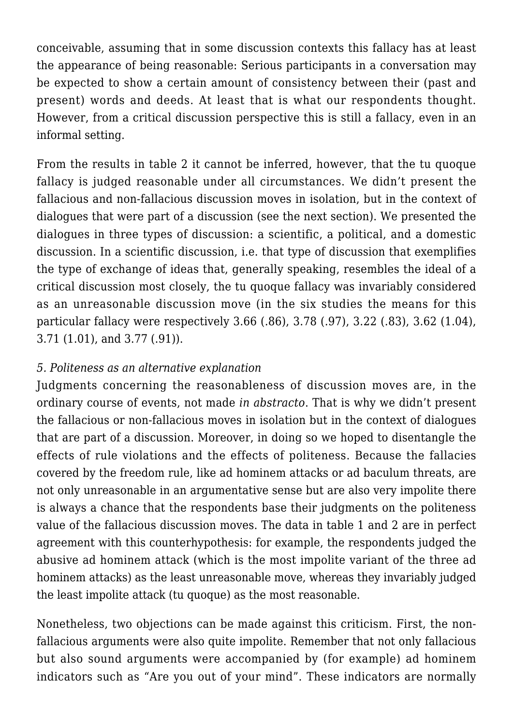conceivable, assuming that in some discussion contexts this fallacy has at least the appearance of being reasonable: Serious participants in a conversation may be expected to show a certain amount of consistency between their (past and present) words and deeds. At least that is what our respondents thought. However, from a critical discussion perspective this is still a fallacy, even in an informal setting.

From the results in table 2 it cannot be inferred, however, that the tu quoque fallacy is judged reasonable under all circumstances. We didn't present the fallacious and non-fallacious discussion moves in isolation, but in the context of dialogues that were part of a discussion (see the next section). We presented the dialogues in three types of discussion: a scientific, a political, and a domestic discussion. In a scientific discussion, i.e. that type of discussion that exemplifies the type of exchange of ideas that, generally speaking, resembles the ideal of a critical discussion most closely, the tu quoque fallacy was invariably considered as an unreasonable discussion move (in the six studies the means for this particular fallacy were respectively 3.66 (.86), 3.78 (.97), 3.22 (.83), 3.62 (1.04), 3.71 (1.01), and 3.77 (.91)).

# *5. Politeness as an alternative explanation*

Judgments concerning the reasonableness of discussion moves are, in the ordinary course of events, not made *in abstracto*. That is why we didn't present the fallacious or non-fallacious moves in isolation but in the context of dialogues that are part of a discussion. Moreover, in doing so we hoped to disentangle the effects of rule violations and the effects of politeness. Because the fallacies covered by the freedom rule, like ad hominem attacks or ad baculum threats, are not only unreasonable in an argumentative sense but are also very impolite there is always a chance that the respondents base their judgments on the politeness value of the fallacious discussion moves. The data in table 1 and 2 are in perfect agreement with this counterhypothesis: for example, the respondents judged the abusive ad hominem attack (which is the most impolite variant of the three ad hominem attacks) as the least unreasonable move, whereas they invariably judged the least impolite attack (tu quoque) as the most reasonable.

Nonetheless, two objections can be made against this criticism. First, the nonfallacious arguments were also quite impolite. Remember that not only fallacious but also sound arguments were accompanied by (for example) ad hominem indicators such as "Are you out of your mind". These indicators are normally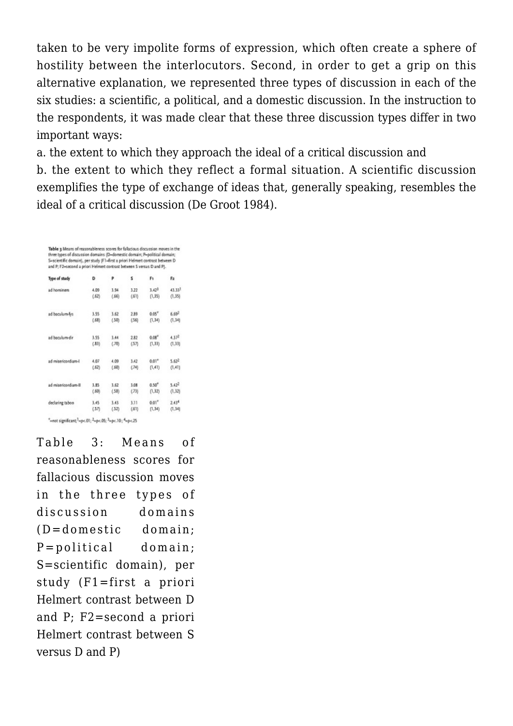taken to be very impolite forms of expression, which often create a sphere of hostility between the interlocutors. Second, in order to get a grip on this alternative explanation, we represented three types of discussion in each of the six studies: a scientific, a political, and a domestic discussion. In the instruction to the respondents, it was made clear that these three discussion types differ in two important ways:

a. the extent to which they approach the ideal of a critical discussion and

b. the extent to which they reflect a formal situation. A scientific discussion exemplifies the type of exchange of ideas that, generally speaking, resembles the ideal of a critical discussion (De Groot 1984).

Table 3 Means of reasonableness scores for fallacious discussion moves in the<br>three types of discussion domains (D-domestic domain; P-political domain; S=scientific domain), per study (F1=first a priori Helmert contrast between D and P; F2-second a priori Helmert contrast between 5 versus D and P).

| Type of study        | D     | p     | s     | F۱                | F2                |
|----------------------|-------|-------|-------|-------------------|-------------------|
| ad hominem           | 4.09  | 3.94  | 3.22  | 3.42 <sup>3</sup> | 43.33             |
|                      | (.62) | (.66) | (61)  | (1,35)            | (1, 35)           |
| ad baculum-fys       | 3.55  | 3.62  | 2.89  | 0.05''            | 6.69 <sup>2</sup> |
|                      | (.68) | (50)  | (56)  | (1,34)            | (1,34)            |
| ad baculum-dir       | 3.55  | 3.44  | 2.82  | 0.06''            | $4.37^{2}$        |
|                      | (.83) | (J0)  | (57)  | (1,33)            | (1, 33)           |
| ad misericordiam-l   | 4.07  | 4.09  | 3.42  | $0.01*$           | 5.62 <sup>2</sup> |
|                      | (.62) | (.60) | (74)  | (1, 41)           | (1, 41)           |
| ad misericordiam-III | 3.85  | 3.62  | 3.08  | 0.50''            | $5.42^{2}$        |
|                      | (.60) | (58)  | (73)  | (1,32)            | (1,32)            |
| declaring taboo      | 3.45  | 3.43  | 3.11  | 0.01''            | 2.434             |
|                      | (.57) | (52)  | (.61) | (1,34)            | (1,34)            |

Table 3: Means of reasonableness scores for fallacious discussion moves in the three types of discussion domains (D=domestic domain; P=political domain; S=scientific domain), per study (F1=first a priori Helmert contrast between D and P; F2=second a priori Helmert contrast between S versus D and P)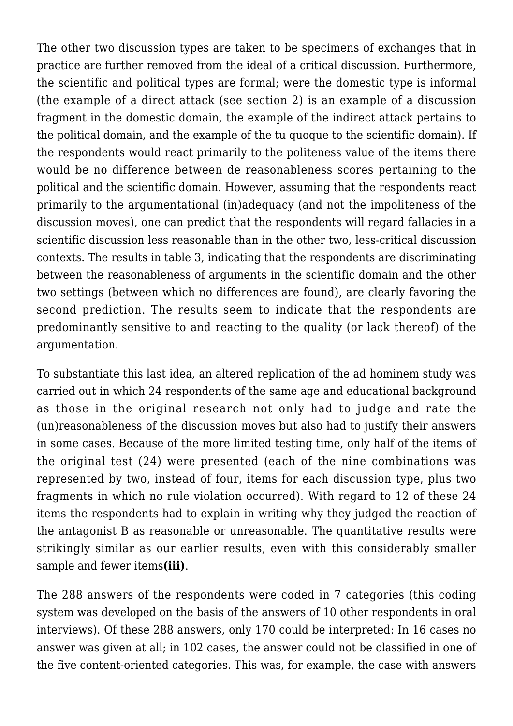The other two discussion types are taken to be specimens of exchanges that in practice are further removed from the ideal of a critical discussion. Furthermore, the scientific and political types are formal; were the domestic type is informal (the example of a direct attack (see section 2) is an example of a discussion fragment in the domestic domain, the example of the indirect attack pertains to the political domain, and the example of the tu quoque to the scientific domain). If the respondents would react primarily to the politeness value of the items there would be no difference between de reasonableness scores pertaining to the political and the scientific domain. However, assuming that the respondents react primarily to the argumentational (in)adequacy (and not the impoliteness of the discussion moves), one can predict that the respondents will regard fallacies in a scientific discussion less reasonable than in the other two, less-critical discussion contexts. The results in table 3, indicating that the respondents are discriminating between the reasonableness of arguments in the scientific domain and the other two settings (between which no differences are found), are clearly favoring the second prediction. The results seem to indicate that the respondents are predominantly sensitive to and reacting to the quality (or lack thereof) of the argumentation.

To substantiate this last idea, an altered replication of the ad hominem study was carried out in which 24 respondents of the same age and educational background as those in the original research not only had to judge and rate the (un)reasonableness of the discussion moves but also had to justify their answers in some cases. Because of the more limited testing time, only half of the items of the original test (24) were presented (each of the nine combinations was represented by two, instead of four, items for each discussion type, plus two fragments in which no rule violation occurred). With regard to 12 of these 24 items the respondents had to explain in writing why they judged the reaction of the antagonist B as reasonable or unreasonable. The quantitative results were strikingly similar as our earlier results, even with this considerably smaller sample and fewer items**(iii)**.

The 288 answers of the respondents were coded in 7 categories (this coding system was developed on the basis of the answers of 10 other respondents in oral interviews). Of these 288 answers, only 170 could be interpreted: In 16 cases no answer was given at all; in 102 cases, the answer could not be classified in one of the five content-oriented categories. This was, for example, the case with answers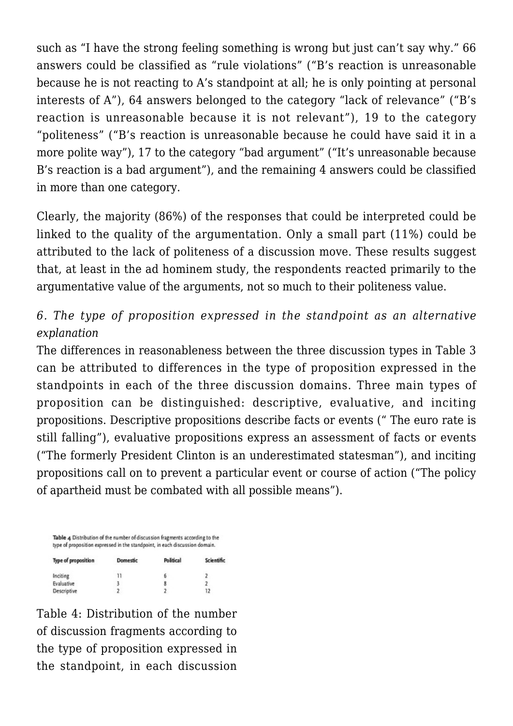such as "I have the strong feeling something is wrong but just can't say why." 66 answers could be classified as "rule violations" ("B's reaction is unreasonable because he is not reacting to A's standpoint at all; he is only pointing at personal interests of A"), 64 answers belonged to the category "lack of relevance" ("B's reaction is unreasonable because it is not relevant"), 19 to the category "politeness" ("B's reaction is unreasonable because he could have said it in a more polite way"), 17 to the category "bad argument" ("It's unreasonable because B's reaction is a bad argument"), and the remaining 4 answers could be classified in more than one category.

Clearly, the majority (86%) of the responses that could be interpreted could be linked to the quality of the argumentation. Only a small part (11%) could be attributed to the lack of politeness of a discussion move. These results suggest that, at least in the ad hominem study, the respondents reacted primarily to the argumentative value of the arguments, not so much to their politeness value.

# *6. The type of proposition expressed in the standpoint as an alternative explanation*

The differences in reasonableness between the three discussion types in Table 3 can be attributed to differences in the type of proposition expressed in the standpoints in each of the three discussion domains. Three main types of proposition can be distinguished: descriptive, evaluative, and inciting propositions. Descriptive propositions describe facts or events (" The euro rate is still falling"), evaluative propositions express an assessment of facts or events ("The formerly President Clinton is an underestimated statesman"), and inciting propositions call on to prevent a particular event or course of action ("The policy of apartheid must be combated with all possible means").

| Table 4 Distribution of the number of discussion fragments according to the<br>type of proposition expressed in the standpoint, in each discussion domain. |                 |           |            |  |  |  |
|------------------------------------------------------------------------------------------------------------------------------------------------------------|-----------------|-----------|------------|--|--|--|
| Type of proposition                                                                                                                                        | <b>Domestic</b> | Political | Scientific |  |  |  |
| Inciting                                                                                                                                                   | 11              | б         |            |  |  |  |
| Evaluative                                                                                                                                                 | 3               | 8         | 2          |  |  |  |
| Descriptive                                                                                                                                                | 2               | 2         | 12         |  |  |  |

Table 4: Distribution of the number of discussion fragments according to the type of proposition expressed in the standpoint, in each discussion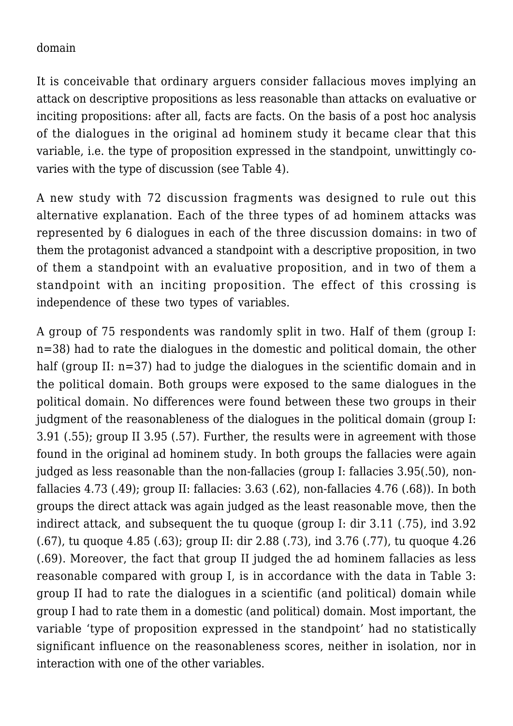#### domain

It is conceivable that ordinary arguers consider fallacious moves implying an attack on descriptive propositions as less reasonable than attacks on evaluative or inciting propositions: after all, facts are facts. On the basis of a post hoc analysis of the dialogues in the original ad hominem study it became clear that this variable, i.e. the type of proposition expressed in the standpoint, unwittingly covaries with the type of discussion (see Table 4).

A new study with 72 discussion fragments was designed to rule out this alternative explanation. Each of the three types of ad hominem attacks was represented by 6 dialogues in each of the three discussion domains: in two of them the protagonist advanced a standpoint with a descriptive proposition, in two of them a standpoint with an evaluative proposition, and in two of them a standpoint with an inciting proposition. The effect of this crossing is independence of these two types of variables.

A group of 75 respondents was randomly split in two. Half of them (group I: n=38) had to rate the dialogues in the domestic and political domain, the other half (group II: n=37) had to judge the dialogues in the scientific domain and in the political domain. Both groups were exposed to the same dialogues in the political domain. No differences were found between these two groups in their judgment of the reasonableness of the dialogues in the political domain (group I: 3.91 (.55); group II 3.95 (.57). Further, the results were in agreement with those found in the original ad hominem study. In both groups the fallacies were again judged as less reasonable than the non-fallacies (group I: fallacies 3.95(.50), nonfallacies 4.73 (.49); group II: fallacies: 3.63 (.62), non-fallacies 4.76 (.68)). In both groups the direct attack was again judged as the least reasonable move, then the indirect attack, and subsequent the tu quoque (group I: dir 3.11 (.75), ind 3.92 (.67), tu quoque 4.85 (.63); group II: dir 2.88 (.73), ind 3.76 (.77), tu quoque 4.26 (.69). Moreover, the fact that group II judged the ad hominem fallacies as less reasonable compared with group I, is in accordance with the data in Table 3: group II had to rate the dialogues in a scientific (and political) domain while group I had to rate them in a domestic (and political) domain. Most important, the variable 'type of proposition expressed in the standpoint' had no statistically significant influence on the reasonableness scores, neither in isolation, nor in interaction with one of the other variables.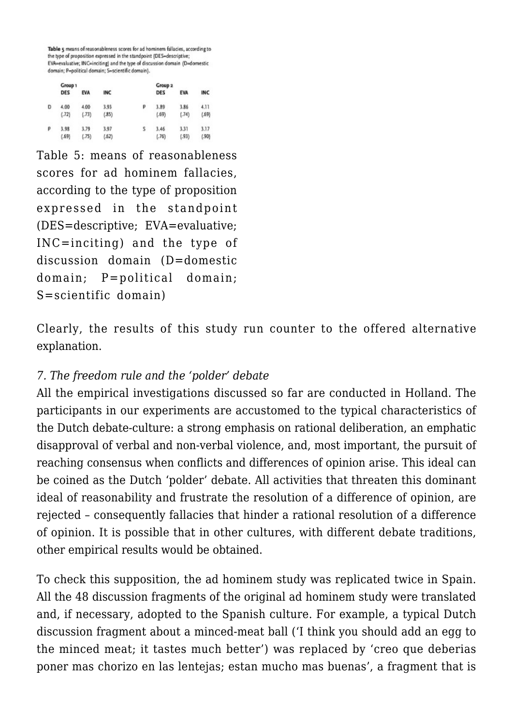Table 5 means of reasonableness scores for ad hominem fallacies, according to the type of proposition expressed in the standpoint (DES-descriptive; EVA=evaluative: INC=inciting) and the type of discussion domain (D=domestic domain; P=political domain; S=scientific domain).

|   | Group 1       |               |               |   | Group <sub>2</sub> |               |               |
|---|---------------|---------------|---------------|---|--------------------|---------------|---------------|
|   | <b>DES</b>    | <b>EVA</b>    | INC           |   | <b>DES</b>         | EVA           | INC           |
| Đ | 4.00<br>(.72) | 4.00<br>(.73) | 3.93<br>(35)  | P | 3.89<br>(.69)      | 3.86<br>(.74) | 4.11<br>(.69) |
| ρ | 3.98<br>(.69) | 3.79<br>(.75) | 3.97<br>(.62) | s | 3.46<br>(.76)      | 3.31<br>(.93) | 3.17<br>(.90) |

Table 5: means of reasonableness scores for ad hominem fallacies, according to the type of proposition expressed in the standpoint (DES=descriptive; EVA=evaluative; INC=inciting) and the type of discussion domain (D=domestic domain; P=political domain; S=scientific domain)

Clearly, the results of this study run counter to the offered alternative explanation.

# *7. The freedom rule and the 'polder' debate*

All the empirical investigations discussed so far are conducted in Holland. The participants in our experiments are accustomed to the typical characteristics of the Dutch debate-culture: a strong emphasis on rational deliberation, an emphatic disapproval of verbal and non-verbal violence, and, most important, the pursuit of reaching consensus when conflicts and differences of opinion arise. This ideal can be coined as the Dutch 'polder' debate. All activities that threaten this dominant ideal of reasonability and frustrate the resolution of a difference of opinion, are rejected – consequently fallacies that hinder a rational resolution of a difference of opinion. It is possible that in other cultures, with different debate traditions, other empirical results would be obtained.

To check this supposition, the ad hominem study was replicated twice in Spain. All the 48 discussion fragments of the original ad hominem study were translated and, if necessary, adopted to the Spanish culture. For example, a typical Dutch discussion fragment about a minced-meat ball ('I think you should add an egg to the minced meat; it tastes much better') was replaced by 'creo que deberias poner mas chorizo en las lentejas; estan mucho mas buenas', a fragment that is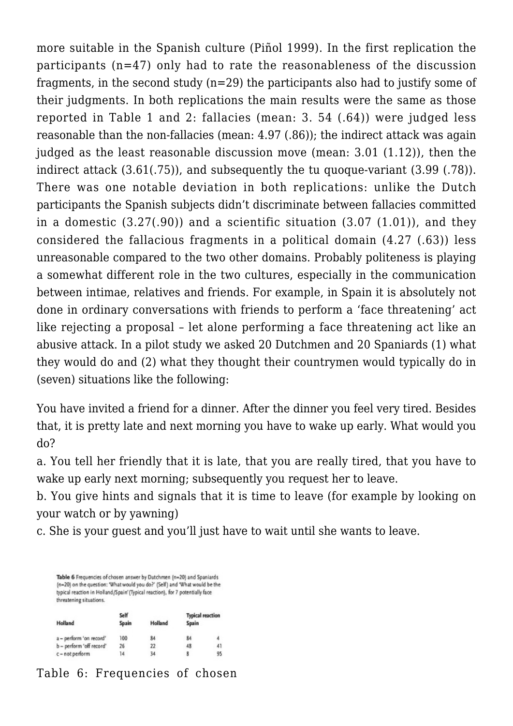more suitable in the Spanish culture (Piñol 1999). In the first replication the participants (n=47) only had to rate the reasonableness of the discussion fragments, in the second study  $(n=29)$  the participants also had to justify some of their judgments. In both replications the main results were the same as those reported in Table 1 and 2: fallacies (mean: 3. 54 (.64)) were judged less reasonable than the non-fallacies (mean: 4.97 (.86)); the indirect attack was again judged as the least reasonable discussion move (mean: 3.01 (1.12)), then the indirect attack (3.61(.75)), and subsequently the tu quoque-variant (3.99 (.78)). There was one notable deviation in both replications: unlike the Dutch participants the Spanish subjects didn't discriminate between fallacies committed in a domestic (3.27(.90)) and a scientific situation (3.07 (1.01)), and they considered the fallacious fragments in a political domain (4.27 (.63)) less unreasonable compared to the two other domains. Probably politeness is playing a somewhat different role in the two cultures, especially in the communication between intimae, relatives and friends. For example, in Spain it is absolutely not done in ordinary conversations with friends to perform a 'face threatening' act like rejecting a proposal – let alone performing a face threatening act like an abusive attack. In a pilot study we asked 20 Dutchmen and 20 Spaniards (1) what they would do and (2) what they thought their countrymen would typically do in (seven) situations like the following:

You have invited a friend for a dinner. After the dinner you feel very tired. Besides that, it is pretty late and next morning you have to wake up early. What would you do?

a. You tell her friendly that it is late, that you are really tired, that you have to wake up early next morning; subsequently you request her to leave.

b. You give hints and signals that it is time to leave (for example by looking on your watch or by yawning)

c. She is your guest and you'll just have to wait until she wants to leave.

Table 6 Frequencies of chosen answer by Dutchmen (n=20) and Spaniards (n=20) on the question: 'What would you do?' (Self) and 'What would be the typical reaction in Holland/Spain' (Typical reaction), for 7 potentially face threatening situations.

|                          | Self  |         | <b>Typical reaction</b> |    |  |
|--------------------------|-------|---------|-------------------------|----|--|
| Holland                  | Spain | Holland | Spain                   |    |  |
| a - perform 'on record'  | 100   | 84      | 84                      | 4  |  |
| b - perform 'off record' | 26    | 22      | 48                      | 41 |  |
| c - not perform          | 14    | 34      | 8                       | 95 |  |

# Table 6: Frequencies of chosen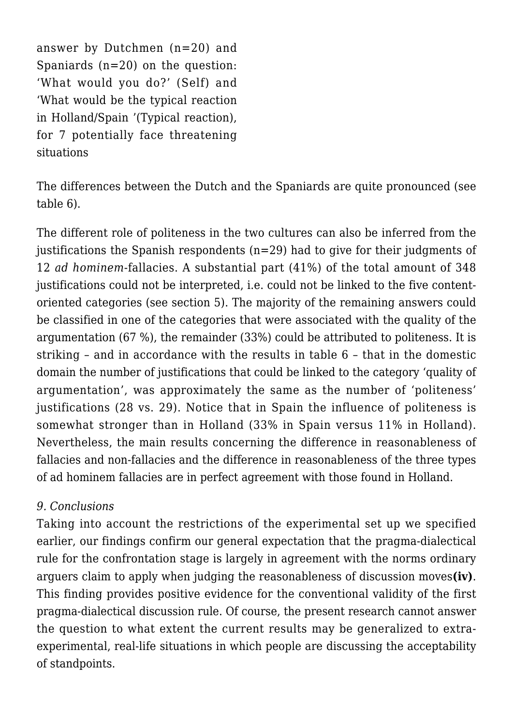answer by Dutchmen (n=20) and Spaniards (n=20) on the question: 'What would you do?' (Self) and 'What would be the typical reaction in Holland/Spain '(Typical reaction), for 7 potentially face threatening situations

The differences between the Dutch and the Spaniards are quite pronounced (see table 6).

The different role of politeness in the two cultures can also be inferred from the justifications the Spanish respondents (n=29) had to give for their judgments of 12 *ad hominem*-fallacies. A substantial part (41%) of the total amount of 348 justifications could not be interpreted, i.e. could not be linked to the five contentoriented categories (see section 5). The majority of the remaining answers could be classified in one of the categories that were associated with the quality of the argumentation (67 %), the remainder (33%) could be attributed to politeness. It is striking – and in accordance with the results in table 6 – that in the domestic domain the number of justifications that could be linked to the category 'quality of argumentation', was approximately the same as the number of 'politeness' justifications (28 vs. 29). Notice that in Spain the influence of politeness is somewhat stronger than in Holland (33% in Spain versus 11% in Holland). Nevertheless, the main results concerning the difference in reasonableness of fallacies and non-fallacies and the difference in reasonableness of the three types of ad hominem fallacies are in perfect agreement with those found in Holland.

## *9. Conclusions*

Taking into account the restrictions of the experimental set up we specified earlier, our findings confirm our general expectation that the pragma-dialectical rule for the confrontation stage is largely in agreement with the norms ordinary arguers claim to apply when judging the reasonableness of discussion moves**(iv)**. This finding provides positive evidence for the conventional validity of the first pragma-dialectical discussion rule. Of course, the present research cannot answer the question to what extent the current results may be generalized to extraexperimental, real-life situations in which people are discussing the acceptability of standpoints.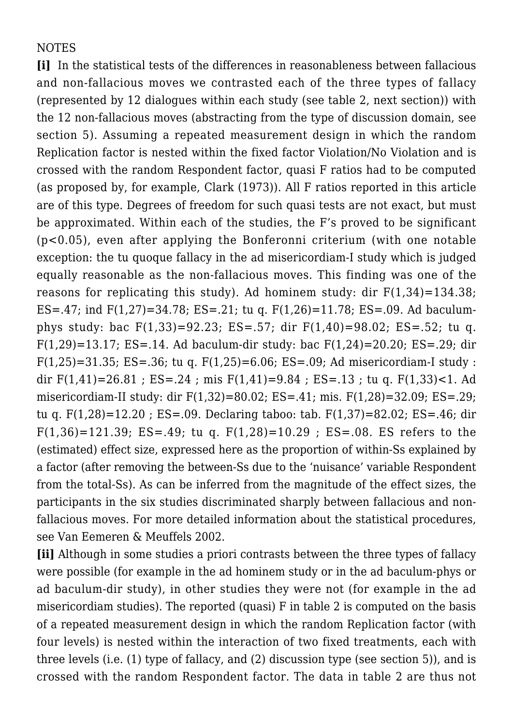# **NOTES**

**[i]** In the statistical tests of the differences in reasonableness between fallacious and non-fallacious moves we contrasted each of the three types of fallacy (represented by 12 dialogues within each study (see table 2, next section)) with the 12 non-fallacious moves (abstracting from the type of discussion domain, see section 5). Assuming a repeated measurement design in which the random Replication factor is nested within the fixed factor Violation/No Violation and is crossed with the random Respondent factor, quasi F ratios had to be computed (as proposed by, for example, Clark (1973)). All F ratios reported in this article are of this type. Degrees of freedom for such quasi tests are not exact, but must be approximated. Within each of the studies, the F's proved to be significant (p<0.05), even after applying the Bonferonni criterium (with one notable exception: the tu quoque fallacy in the ad misericordiam-I study which is judged equally reasonable as the non-fallacious moves. This finding was one of the reasons for replicating this study). Ad hominem study: dir  $F(1,34)=134.38$ ; ES=.47; ind F(1,27)=34.78; ES=.21; tu q. F(1,26)=11.78; ES=.09. Ad baculumphys study: bac F(1,33)=92.23; ES=.57; dir F(1,40)=98.02; ES=.52; tu q. F(1,29)=13.17; ES=.14. Ad baculum-dir study: bac F(1,24)=20.20; ES=.29; dir  $F(1,25)=31.35$ ; ES=.36; tu q.  $F(1,25)=6.06$ ; ES=.09; Ad misericordiam-I study : dir  $F(1,41)=26.81$ ;  $ES=.24$ ; mis  $F(1,41)=9.84$ ;  $ES=.13$ ; tu q.  $F(1,33)$  < 1. Ad misericordiam-II study: dir F(1,32)=80.02; ES=.41; mis. F(1,28)=32.09; ES=.29; tu q. F(1,28)=12.20 ; ES=.09. Declaring taboo: tab. F(1,37)=82.02; ES=.46; dir F(1,36)=121.39; ES=.49; tu q. F(1,28)=10.29; ES=.08. ES refers to the (estimated) effect size, expressed here as the proportion of within-Ss explained by a factor (after removing the between-Ss due to the 'nuisance' variable Respondent from the total-Ss). As can be inferred from the magnitude of the effect sizes, the participants in the six studies discriminated sharply between fallacious and nonfallacious moves. For more detailed information about the statistical procedures, see Van Eemeren & Meuffels 2002.

**[ii]** Although in some studies a priori contrasts between the three types of fallacy were possible (for example in the ad hominem study or in the ad baculum-phys or ad baculum-dir study), in other studies they were not (for example in the ad misericordiam studies). The reported (quasi) F in table 2 is computed on the basis of a repeated measurement design in which the random Replication factor (with four levels) is nested within the interaction of two fixed treatments, each with three levels (i.e. (1) type of fallacy, and (2) discussion type (see section 5)), and is crossed with the random Respondent factor. The data in table 2 are thus not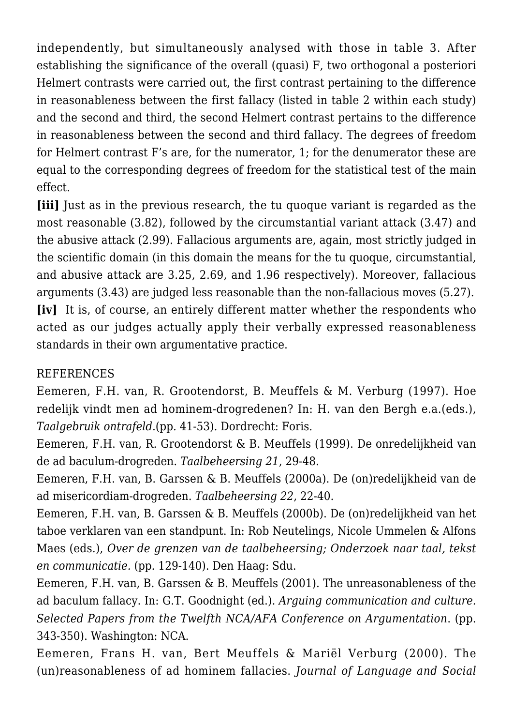independently, but simultaneously analysed with those in table 3. After establishing the significance of the overall (quasi) F, two orthogonal a posteriori Helmert contrasts were carried out, the first contrast pertaining to the difference in reasonableness between the first fallacy (listed in table 2 within each study) and the second and third, the second Helmert contrast pertains to the difference in reasonableness between the second and third fallacy. The degrees of freedom for Helmert contrast F's are, for the numerator, 1; for the denumerator these are equal to the corresponding degrees of freedom for the statistical test of the main effect.

*Iiiil* Just as in the previous research, the tu quoque variant is regarded as the most reasonable (3.82), followed by the circumstantial variant attack (3.47) and the abusive attack (2.99). Fallacious arguments are, again, most strictly judged in the scientific domain (in this domain the means for the tu quoque, circumstantial, and abusive attack are 3.25, 2.69, and 1.96 respectively). Moreover, fallacious arguments (3.43) are judged less reasonable than the non-fallacious moves (5.27). **[iv]** It is, of course, an entirely different matter whether the respondents who acted as our judges actually apply their verbally expressed reasonableness standards in their own argumentative practice.

# REFERENCES

Eemeren, F.H. van, R. Grootendorst, B. Meuffels & M. Verburg (1997). Hoe redelijk vindt men ad hominem-drogredenen? In: H. van den Bergh e.a.(eds.), *Taalgebruik ontrafeld*.(pp. 41-53). Dordrecht: Foris.

Eemeren, F.H. van, R. Grootendorst & B. Meuffels (1999). De onredelijkheid van de ad baculum-drogreden. *Taalbeheersing 21*, 29-48.

Eemeren, F.H. van, B. Garssen & B. Meuffels (2000a). De (on)redelijkheid van de ad misericordiam-drogreden. *Taalbeheersing 22*, 22-40.

Eemeren, F.H. van, B. Garssen & B. Meuffels (2000b). De (on)redelijkheid van het taboe verklaren van een standpunt. In: Rob Neutelings, Nicole Ummelen & Alfons Maes (eds.), *Over de grenzen van de taalbeheersing; Onderzoek naar taal, tekst en communicatie.* (pp. 129-140). Den Haag: Sdu.

Eemeren, F.H. van, B. Garssen & B. Meuffels (2001). The unreasonableness of the ad baculum fallacy. In: G.T. Goodnight (ed.). *Arguing communication and culture. Selected Papers from the Twelfth NCA/AFA Conference on Argumentation*. (pp. 343-350). Washington: NCA.

Eemeren, Frans H. van, Bert Meuffels & Mariël Verburg (2000). The (un)reasonableness of ad hominem fallacies. *Journal of Language and Social*